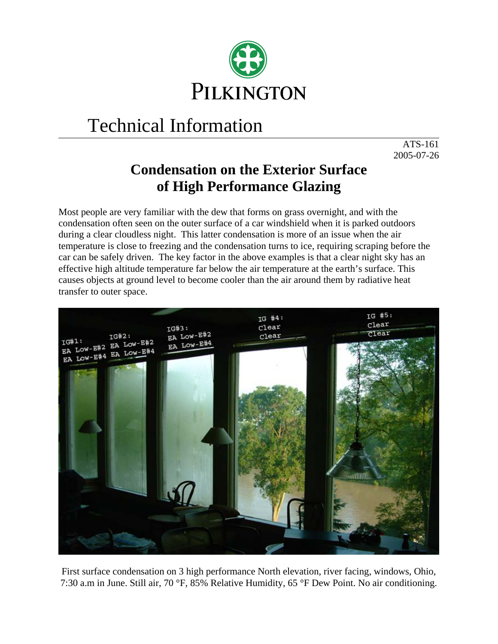

## Technical Information

ATS-161 2005-07-26

## **Condensation on the Exterior Surface of High Performance Glazing**

Most people are very familiar with the dew that forms on grass overnight, and with the condensation often seen on the outer surface of a car windshield when it is parked outdoors during a clear cloudless night. This latter condensation is more of an issue when the air temperature is close to freezing and the condensation turns to ice, requiring scraping before the car can be safely driven. The key factor in the above examples is that a clear night sky has an effective high altitude temperature far below the air temperature at the earth's surface. This causes objects at ground level to become cooler than the air around them by radiative heat transfer to outer space.



First surface condensation on 3 high performance North elevation, river facing, windows, Ohio, 7:30 a.m in June. Still air, 70 °F, 85% Relative Humidity, 65 °F Dew Point. No air conditioning.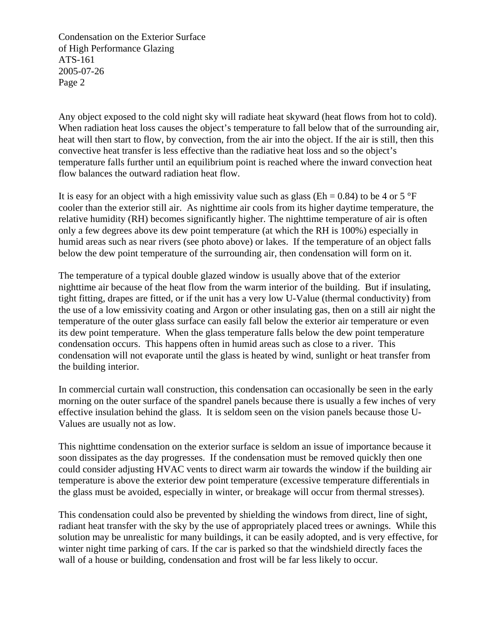Condensation on the Exterior Surface of High Performance Glazing ATS-161 2005-07-26 Page 2

Any object exposed to the cold night sky will radiate heat skyward (heat flows from hot to cold). When radiation heat loss causes the object's temperature to fall below that of the surrounding air, heat will then start to flow, by convection, from the air into the object. If the air is still, then this convective heat transfer is less effective than the radiative heat loss and so the object's temperature falls further until an equilibrium point is reached where the inward convection heat flow balances the outward radiation heat flow.

It is easy for an object with a high emissivity value such as glass ( $Eh = 0.84$ ) to be 4 or 5 °F cooler than the exterior still air. As nighttime air cools from its higher daytime temperature, the relative humidity (RH) becomes significantly higher. The nighttime temperature of air is often only a few degrees above its dew point temperature (at which the RH is 100%) especially in humid areas such as near rivers (see photo above) or lakes. If the temperature of an object falls below the dew point temperature of the surrounding air, then condensation will form on it.

The temperature of a typical double glazed window is usually above that of the exterior nighttime air because of the heat flow from the warm interior of the building. But if insulating, tight fitting, drapes are fitted, or if the unit has a very low U-Value (thermal conductivity) from the use of a low emissivity coating and Argon or other insulating gas, then on a still air night the temperature of the outer glass surface can easily fall below the exterior air temperature or even its dew point temperature. When the glass temperature falls below the dew point temperature condensation occurs. This happens often in humid areas such as close to a river. This condensation will not evaporate until the glass is heated by wind, sunlight or heat transfer from the building interior.

In commercial curtain wall construction, this condensation can occasionally be seen in the early morning on the outer surface of the spandrel panels because there is usually a few inches of very effective insulation behind the glass. It is seldom seen on the vision panels because those U-Values are usually not as low.

This nighttime condensation on the exterior surface is seldom an issue of importance because it soon dissipates as the day progresses. If the condensation must be removed quickly then one could consider adjusting HVAC vents to direct warm air towards the window if the building air temperature is above the exterior dew point temperature (excessive temperature differentials in the glass must be avoided, especially in winter, or breakage will occur from thermal stresses).

This condensation could also be prevented by shielding the windows from direct, line of sight, radiant heat transfer with the sky by the use of appropriately placed trees or awnings. While this solution may be unrealistic for many buildings, it can be easily adopted, and is very effective, for winter night time parking of cars. If the car is parked so that the windshield directly faces the wall of a house or building, condensation and frost will be far less likely to occur.